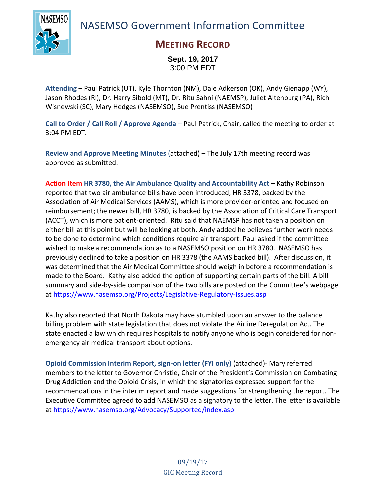NASEMSO Government Information Committee



## **MEETING RECORD**

**Sept. 19, 2017** 3:00 PM EDT

**Attending** – Paul Patrick (UT), Kyle Thornton (NM), Dale Adkerson (OK), Andy Gienapp (WY), Jason Rhodes (RI), Dr. Harry Sibold (MT), Dr. Ritu Sahni (NAEMSP), Juliet Altenburg (PA), Rich Wisnewski (SC), Mary Hedges (NASEMSO), Sue Prentiss (NASEMSO)

**Call to Order / Call Roll / Approve Agenda** – Paul Patrick, Chair, called the meeting to order at 3:04 PM EDT.

**Review and Approve Meeting Minutes** (attached) – The July 17th meeting record was approved as submitted.

**Action Item HR 3780, the Air Ambulance Quality and Accountability Act** – Kathy Robinson reported that two air ambulance bills have been introduced, HR 3378, backed by the Association of Air Medical Services (AAMS), which is more provider-oriented and focused on reimbursement; the newer bill, HR 3780, is backed by the Association of Critical Care Transport (ACCT), which is more patient-oriented. Ritu said that NAEMSP has not taken a position on either bill at this point but will be looking at both. Andy added he believes further work needs to be done to determine which conditions require air transport. Paul asked if the committee wished to make a recommendation as to a NASEMSO position on HR 3780. NASEMSO has previously declined to take a position on HR 3378 (the AAMS backed bill). After discussion, it was determined that the Air Medical Committee should weigh in before a recommendation is made to the Board. Kathy also added the option of supporting certain parts of the bill. A bill summary and side-by-side comparison of the two bills are posted on the Committee's webpage at<https://www.nasemso.org/Projects/Legislative-Regulatory-Issues.asp>

Kathy also reported that North Dakota may have stumbled upon an answer to the balance billing problem with state legislation that does not violate the Airline Deregulation Act. The state enacted a law which requires hospitals to notify anyone who is begin considered for nonemergency air medical transport about options.

**Opioid Commission Interim Report, sign-on letter (FYI only)** (attached)- Mary referred members to the letter to Governor Christie, Chair of the President's Commission on Combating Drug Addiction and the Opioid Crisis, in which the signatories expressed support for the recommendations in the interim report and made suggestions for strengthening the report. The Executive Committee agreed to add NASEMSO as a signatory to the letter. The letter is available at<https://www.nasemso.org/Advocacy/Supported/index.asp>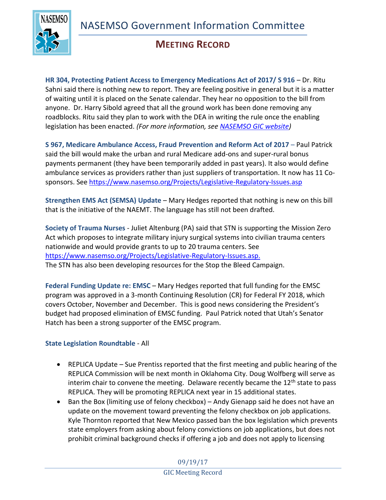

## **MEETING RECORD**

**HR 304, Protecting Patient Access to Emergency Medications Act of 2017/ S 916** – Dr. Ritu Sahni said there is nothing new to report. They are feeling positive in general but it is a matter of waiting until it is placed on the Senate calendar. They hear no opposition to the bill from anyone. Dr. Harry Sibold agreed that all the ground work has been done removing any roadblocks. Ritu said they plan to work with the DEA in writing the rule once the enabling legislation has been enacted. *(For more information, see [NASEMSO GIC website\)](https://www.nasemso.org/Projects/Legislative-Regulatory-Issues.asp)*

**S 967, Medicare Ambulance Access, Fraud Prevention and Reform Act of 2017** – Paul Patrick said the bill would make the urban and rural Medicare add-ons and super-rural bonus payments permanent (they have been temporarily added in past years). It also would define ambulance services as providers rather than just suppliers of transportation. It now has 11 Cosponsors. See <https://www.nasemso.org/Projects/Legislative-Regulatory-Issues.asp>

**Strengthen EMS Act (SEMSA) Update** – Mary Hedges reported that nothing is new on this bill that is the initiative of the NAEMT. The language has still not been drafted.

**Society of Trauma Nurses** - Juliet Altenburg (PA) said that STN is supporting the Mission Zero Act which proposes to integrate military injury surgical systems into civilian trauma centers nationwide and would provide grants to up to 20 trauma centers. See [https://www.nasemso.org/Projects/Legislative-Regulatory-Issues.asp.](https://www.nasemso.org/Projects/Legislative-Regulatory-Issues.asp) The STN has also been developing resources for the Stop the Bleed Campaign.

**Federal Funding Update re: EMSC** – Mary Hedges reported that full funding for the EMSC program was approved in a 3-month Continuing Resolution (CR) for Federal FY 2018, which covers October, November and December. This is good news considering the President's budget had proposed elimination of EMSC funding. Paul Patrick noted that Utah's Senator Hatch has been a strong supporter of the EMSC program.

## **State Legislation Roundtable** - All

- REPLICA Update Sue Prentiss reported that the first meeting and public hearing of the REPLICA Commission will be next month in Oklahoma City. Doug Wolfberg will serve as interim chair to convene the meeting. Delaware recently became the 12<sup>th</sup> state to pass REPLICA. They will be promoting REPLICA next year in 15 additional states.
- Ban the Box (limiting use of felony checkbox) Andy Gienapp said he does not have an update on the movement toward preventing the felony checkbox on job applications. Kyle Thornton reported that New Mexico passed ban the box legislation which prevents state employers from asking about felony convictions on job applications, but does not prohibit criminal background checks if offering a job and does not apply to licensing